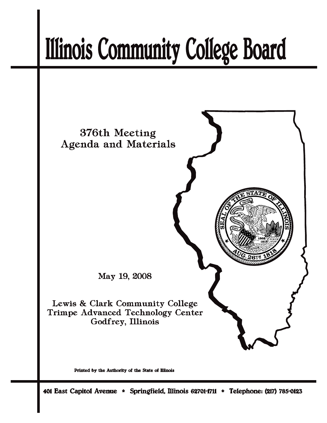# **Illinois Community College Board**



Printed by the Authority of the State of Illinois

401 East Capitol Avenue \* Springfield, Illinois 62701-1711 \* Telephone: (217) 785-0123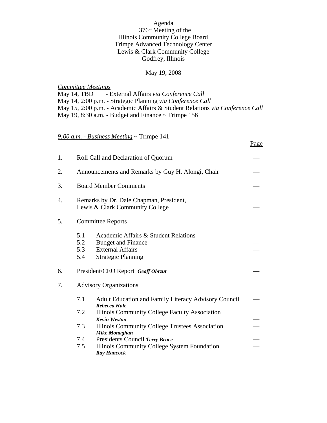#### Agenda

## 376th Meeting of the Illinois Community College Board Trimpe Advanced Technology Center Lewis & Clark Community College Godfrey, Illinois

# May 19, 2008

*Committee Meetings* May 14, TBD - External Affairs *via Conference Call* May 14, 2:00 p.m. - Strategic Planning *via Conference Call* May 15, 2:00 p.m. - Academic Affairs & Student Relations *via Conference Call* May 19, 8:30 a.m. - Budget and Finance ~ Trimpe 156

Page

## *9:00 a.m. - Business Meeting* ~ Trimpe 141

| 1. | Roll Call and Declaration of Quorum                                        |                                                                                                                           |  |
|----|----------------------------------------------------------------------------|---------------------------------------------------------------------------------------------------------------------------|--|
| 2. | Announcements and Remarks by Guy H. Alongi, Chair                          |                                                                                                                           |  |
| 3. | <b>Board Member Comments</b>                                               |                                                                                                                           |  |
| 4. | Remarks by Dr. Dale Chapman, President,<br>Lewis & Clark Community College |                                                                                                                           |  |
| 5. | <b>Committee Reports</b>                                                   |                                                                                                                           |  |
|    | 5.1<br>5.2<br>5.3<br>5.4                                                   | Academic Affairs & Student Relations<br><b>Budget and Finance</b><br><b>External Affairs</b><br><b>Strategic Planning</b> |  |
| 6. | President/CEO Report Geoff Obrzut                                          |                                                                                                                           |  |
| 7. | <b>Advisory Organizations</b>                                              |                                                                                                                           |  |
|    | 7.1                                                                        | <b>Adult Education and Family Literacy Advisory Council</b><br>Rebecca Hale                                               |  |
|    | 7.2                                                                        | Illinois Community College Faculty Association                                                                            |  |
|    | 7.3                                                                        | <b>Kevin Weston</b><br>Illinois Community College Trustees Association<br><b>Mike Monaghan</b>                            |  |
|    | 7.4                                                                        | Presidents Council Terry Bruce                                                                                            |  |
|    | 7.5                                                                        | Illinois Community College System Foundation<br><b>Ray Hancock</b>                                                        |  |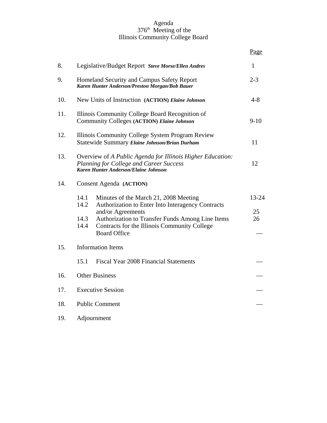#### Agenda 376<sup>th</sup> Meeting of the Illinois Community College Board

|     |                                                                                                                                                                                                                                                                            | Page              |  |  |
|-----|----------------------------------------------------------------------------------------------------------------------------------------------------------------------------------------------------------------------------------------------------------------------------|-------------------|--|--|
| 8.  | Legislative/Budget Report Steve Morse/Ellen Andres                                                                                                                                                                                                                         |                   |  |  |
| 9.  | Homeland Security and Campus Safety Report<br>Karen Hunter Anderson/Preston Morgan/Bob Bauer                                                                                                                                                                               |                   |  |  |
| 10. | New Units of Instruction (ACTION) Elaine Johnson                                                                                                                                                                                                                           |                   |  |  |
| 11. | Illinois Community College Board Recognition of<br>Community Colleges (ACTION) Elaine Johnson                                                                                                                                                                              |                   |  |  |
| 12. | Illinois Community College System Program Review<br>Statewide Summary Elaine Johnson/Brian Durham                                                                                                                                                                          | 11                |  |  |
| 13. | Overview of A Public Agenda for Illinois Higher Education:<br>Planning for College and Career Success<br>Karen Hunter Anderson/Elaine Johnson                                                                                                                              | 12                |  |  |
| 14. | Consent Agenda (ACTION)                                                                                                                                                                                                                                                    |                   |  |  |
|     | 14.1<br>Minutes of the March 21, 2008 Meeting<br>14.2<br>Authorization to Enter Into Interagency Contracts<br>and/or Agreements<br>14.3<br>Authorization to Transfer Funds Among Line Items<br>14.4<br>Contracts for the Illinois Community College<br><b>Board Office</b> | 13-24<br>25<br>26 |  |  |
| 15. | <b>Information Items</b>                                                                                                                                                                                                                                                   |                   |  |  |
|     | Fiscal Year 2008 Financial Statements<br>15.1                                                                                                                                                                                                                              |                   |  |  |
| 16. | <b>Other Business</b>                                                                                                                                                                                                                                                      |                   |  |  |
| 17. | <b>Executive Session</b>                                                                                                                                                                                                                                                   |                   |  |  |
| 18. | <b>Public Comment</b>                                                                                                                                                                                                                                                      |                   |  |  |
| 19. | Adjournment                                                                                                                                                                                                                                                                |                   |  |  |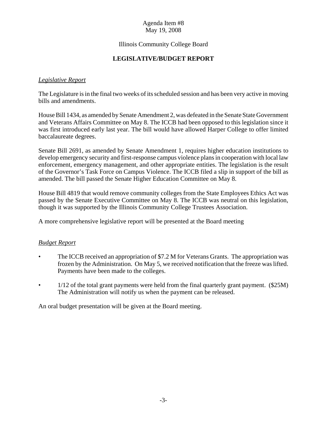# Agenda Item #8 May 19, 2008

## Illinois Community College Board

# **LEGISLATIVE/BUDGET REPORT**

# *Legislative Report*

The Legislature is in the final two weeks of its scheduled session and has been very active in moving bills and amendments.

House Bill 1434, as amended by Senate Amendment 2, was defeated in the Senate State Government and Veterans Affairs Committee on May 8. The ICCB had been opposed to this legislation since it was first introduced early last year. The bill would have allowed Harper College to offer limited baccalaureate degrees.

Senate Bill 2691, as amended by Senate Amendment 1, requires higher education institutions to develop emergency security and first-response campus violence plans in cooperation with local law enforcement, emergency management, and other appropriate entities. The legislation is the result of the Governor's Task Force on Campus Violence. The ICCB filed a slip in support of the bill as amended. The bill passed the Senate Higher Education Committee on May 8.

House Bill 4819 that would remove community colleges from the State Employees Ethics Act was passed by the Senate Executive Committee on May 8. The ICCB was neutral on this legislation, though it was supported by the Illinois Community College Trustees Association.

A more comprehensive legislative report will be presented at the Board meeting

## *Budget Report*

- The ICCB received an appropriation of \$7.2 M for Veterans Grants. The appropriation was frozen by the Administration. On May 5, we received notification that the freeze was lifted. Payments have been made to the colleges.
- $1/12$  of the total grant payments were held from the final quarterly grant payment. (\$25M) The Administration will notify us when the payment can be released.

An oral budget presentation will be given at the Board meeting.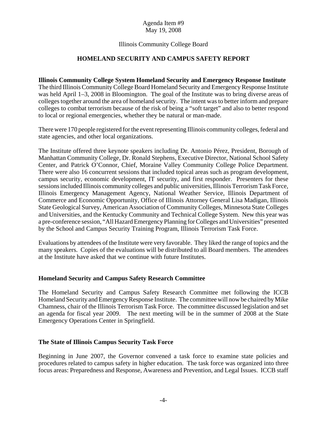## Agenda Item #9 May 19, 2008

## Illinois Community College Board

## **HOMELAND SECURITY AND CAMPUS SAFETY REPORT**

#### **Illinois Community College System Homeland Security and Emergency Response Institute**

The third Illinois Community College Board Homeland Security and Emergency Response Institute was held April 1–3, 2008 in Bloomington. The goal of the Institute was to bring diverse areas of colleges together around the area of homeland security. The intent was to better inform and prepare colleges to combat terrorism because of the risk of being a "soft target" and also to better respond to local or regional emergencies, whether they be natural or man-made.

There were 170 people registered for the event representing Illinois community colleges, federal and state agencies, and other local organizations.

The Institute offered three keynote speakers including Dr. Antonio Pérez, President, Borough of Manhattan Community College, Dr. Ronald Stephens, Executive Director, National School Safety Center, and Patrick O'Connor, Chief, Moraine Valley Community College Police Department. There were also 16 concurrent sessions that included topical areas such as program development, campus security, economic development, IT security, and first responder. Presenters for these sessions included Illinois community colleges and public universities, Illinois Terrorism Task Force, Illinois Emergency Management Agency, National Weather Service, Illinois Department of Commerce and Economic Opportunity, Office of Illinois Attorney General Lisa Madigan, Illinois State Geological Survey, American Association of Community Colleges, Minnesota State Colleges and Universities, and the Kentucky Community and Technical College System. New this year was a pre-conference session, "All Hazard Emergency Planning for Colleges and Universities" presented by the School and Campus Security Training Program, Illinois Terrorism Task Force.

Evaluations by attendees of the Institute were very favorable. They liked the range of topics and the many speakers. Copies of the evaluations will be distributed to all Board members. The attendees at the Institute have asked that we continue with future Institutes.

## **Homeland Security and Campus Safety Research Committee**

The Homeland Security and Campus Safety Research Committee met following the ICCB Homeland Security and Emergency Response Institute. The committee will now be chaired by Mike Chamness, chair of the Illinois Terrorism Task Force. The committee discussed legislation and set an agenda for fiscal year 2009. The next meeting will be in the summer of 2008 at the State Emergency Operations Center in Springfield.

## **The State of Illinois Campus Security Task Force**

Beginning in June 2007, the Governor convened a task force to examine state policies and procedures related to campus safety in higher education. The task force was organized into three focus areas: Preparedness and Response, Awareness and Prevention, and Legal Issues. ICCB staff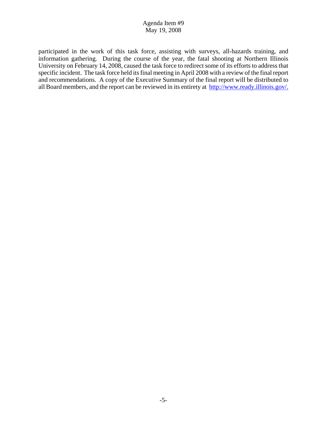# Agenda Item #9 May 19, 2008

participated in the work of this task force, assisting with surveys, all-hazards training, and information gathering. During the course of the year, the fatal shooting at Northern Illinois University on February 14, 2008, caused the task force to redirect some of its efforts to address that specific incident. The task force held its final meeting in April 2008 with a review of the final report and recommendations. A copy of the Executive Summary of the final report will be distributed to all Board members, and the report can be reviewed in its entirety at http://www.ready.illinois.gov/.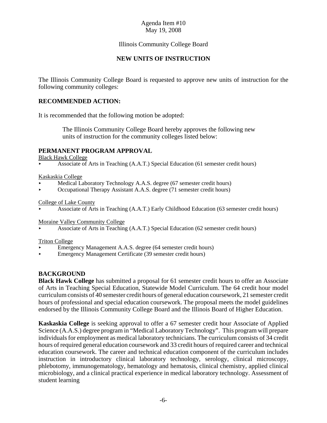## Illinois Community College Board

## **NEW UNITS OF INSTRUCTION**

The Illinois Community College Board is requested to approve new units of instruction for the following community colleges:

## **RECOMMENDED ACTION:**

It is recommended that the following motion be adopted:

 The Illinois Community College Board hereby approves the following new units of instruction for the community colleges listed below:

## **PERMANENT PROGRAM APPROVAL**

Black Hawk College

< Associate of Arts in Teaching (A.A.T.) Special Education (61 semester credit hours)

#### Kaskaskia College

- < Medical Laboratory Technology A.A.S. degree (67 semester credit hours)
- < Occupational Therapy Assistant A.A.S. degree (71 semester credit hours)

#### College of Lake County

< Associate of Arts in Teaching (A.A.T.) Early Childhood Education (63 semester credit hours)

Moraine Valley Community College

< Associate of Arts in Teaching (A.A.T.) Special Education (62 semester credit hours)

#### Triton College

- < Emergency Management A.A.S. degree (64 semester credit hours)
- < Emergency Management Certificate (39 semester credit hours)

# **BACKGROUND**

**Black Hawk College** has submitted a proposal for 61 semester credit hours to offer an Associate of Arts in Teaching Special Education, Statewide Model Curriculum. The 64 credit hour model curriculum consists of 40 semester credit hours of general education coursework, 21 semester credit hours of professional and special education coursework. The proposal meets the model guidelines endorsed by the Illinois Community College Board and the Illinois Board of Higher Education.

**Kaskaskia College** is seeking approval to offer a 67 semester credit hour Associate of Applied Science (A.A.S.) degree program in "Medical Laboratory Technology". This program will prepare individuals for employment as medical laboratory technicians. The curriculum consists of 34 credit hours of required general education coursework and 33 credit hours of required career and technical education coursework. The career and technical education component of the curriculum includes instruction in introductory clinical laboratory technology, serology, clinical microscopy, phlebotomy, immunogematology, hematology and hematosis, clinical chemistry, applied clinical microbiology, and a clinical practical experience in medical laboratory technology. Assessment of student learning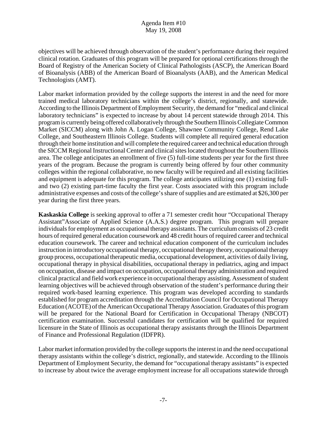objectives will be achieved through observation of the student's performance during their required clinical rotation. Graduates of this program will be prepared for optional certifications through the Board of Registry of the American Society of Clinical Pathologists (ASCP), the American Board of Bioanalysis (ABB) of the American Board of Bioanalysts (AAB), and the American Medical Technologists (AMT).

Labor market information provided by the college supports the interest in and the need for more trained medical laboratory technicians within the college's district, regionally, and statewide. According to the Illinois Department of Employment Security, the demand for "medical and clinical laboratory technicians" is expected to increase by about 14 percent statewide through 2014. This program is currently being offered collaboratively through the Southern Illinois Collegiate Common Market (SICCM) along with John A. Logan College, Shawnee Community College, Rend Lake College, and Southeastern Illinois College. Students will complete all required general education through their home institution and will complete the required career and technical education through the SICCM Regional Instructional Center and clinical sites located throughout the Southern Illinois area. The college anticipates an enrollment of five (5) full-time students per year for the first three years of the program. Because the program is currently being offered by four other community colleges within the regional collaborative, no new faculty will be required and all existing facilities and equipment is adequate for this program. The college anticipates utilizing one (1) existing fulland two (2) existing part-time faculty the first year. Costs associated with this program include administrative expenses and costs of the college's share of supplies and are estimated at \$26,300 per year during the first three years.

**Kaskaskia College** is seeking approval to offer a 71 semester credit hour "Occupational Therapy Assistant"Associate of Applied Science (A.A.S.) degree program. This program will prepare individuals for employment as occupational therapy assistants. The curriculum consists of 23 credit hours of required general education coursework and 48 credit hours of required career and technical education coursework. The career and technical education component of the curriculum includes instruction in introductory occupational therapy, occupational therapy theory, occupational therapy group process, occupational therapeutic media, occupational development, activities of daily living, occupational therapy in physical disabilities, occupational therapy in pediatrics, aging and impact on occupation, disease and impact on occupation, occupational therapy administration and required clinical practical and field work experience in occupational therapy assisting. Assessment of student learning objectives will be achieved through observation of the student's performance during their required work-based learning experience. This program was developed according to standards established for program accreditation through the Accreditation Council for Occupational Therapy Education (ACOTE) of the American Occupational Therapy Association. Graduates of this program will be prepared for the National Board for Certification in Occupational Therapy (NBCOT) certification examination. Successful candidates for certification will be qualified for required licensure in the State of Illinois as occupational therapy assistants through the Illinois Department of Finance and Professional Regulation (IDFPR).

Labor market information provided by the college supports the interest in and the need occupational therapy assistants within the college's district, regionally, and statewide. According to the Illinois Department of Employment Security, the demand for "occupational therapy assistants" is expected to increase by about twice the average employment increase for all occupations statewide through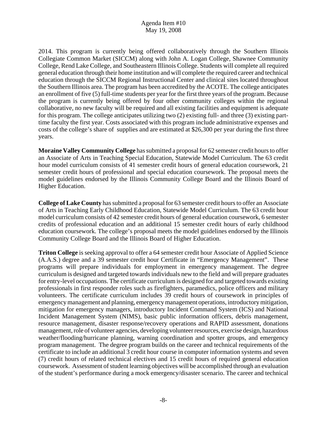2014. This program is currently being offered collaboratively through the Southern Illinois Collegiate Common Market (SICCM) along with John A. Logan College, Shawnee Community College, Rend Lake College, and Southeastern Illinois College. Students will complete all required general education through their home institution and will complete the required career and technical education through the SICCM Regional Instructional Center and clinical sites located throughout the Southern Illinois area. The program has been accredited by the ACOTE. The college anticipates an enrollment of five (5) full-time students per year for the first three years of the program. Because the program is currently being offered by four other community colleges within the regional collaborative, no new faculty will be required and all existing facilities and equipment is adequate for this program. The college anticipates utilizing two (2) existing full- and three (3) existing parttime faculty the first year. Costs associated with this program include administrative expenses and costs of the college's share of supplies and are estimated at \$26,300 per year during the first three years.

**Moraine Valley Community College** has submitted a proposal for 62 semester credit hours to offer an Associate of Arts in Teaching Special Education, Statewide Model Curriculum. The 63 credit hour model curriculum consists of 41 semester credit hours of general education coursework, 21 semester credit hours of professional and special education coursework. The proposal meets the model guidelines endorsed by the Illinois Community College Board and the Illinois Board of Higher Education.

**College of Lake County** has submitted a proposal for 63 semester credit hours to offer an Associate of Arts in Teaching Early Childhood Education, Statewide Model Curriculum. The 63 credit hour model curriculum consists of 42 semester credit hours of general education coursework, 6 semester credits of professional education and an additional 15 semester credit hours of early childhood education coursework. The college's proposal meets the model guidelines endorsed by the Illinois Community College Board and the Illinois Board of Higher Education.

**Triton College** is seeking approval to offer a 64 semester credit hour Associate of Applied Science (A.A.S.) degree and a 39 semester credit hour Certificate in "Emergency Management". These programs will prepare individuals for employment in emergency management. The degree curriculum is designed and targeted towards individuals new to the field and will prepare graduates for entry-level occupations. The certificate curriculum is designed for and targeted towards existing professionals in first responder roles such as firefighters, paramedics, police officers and military volunteers. The certificate curriculum includes 39 credit hours of coursework in principles of emergency management and planning, emergency management operations, introductory mitigation, mitigation for emergency managers, introductory Incident Command System (ICS) and National Incident Management System (NIMS), basic public information officers, debris management, resource management, disaster response/recovery operations and RAPID assessment, donations management, role of volunteer agencies, developing volunteer resources, exercise design, hazardous weather/flooding/hurricane planning, warning coordination and spotter groups, and emergency program management. The degree program builds on the career and technical requirements of the certificate to include an additional 3 credit hour course in computer information systems and seven (7) credit hours of related technical electives and 15 credit hours of required general education coursework. Assessment of student learning objectives will be accomplished through an evaluation of the student's performance during a mock emergency/disaster scenario. The career and technical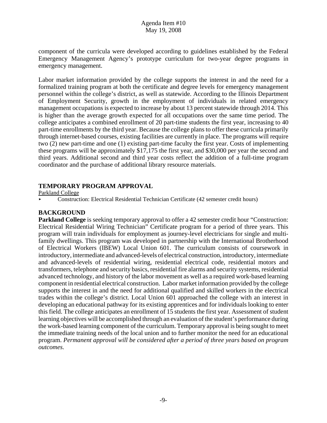component of the curricula were developed according to guidelines established by the Federal Emergency Management Agency's prototype curriculum for two-year degree programs in emergency management.

Labor market information provided by the college supports the interest in and the need for a formalized training program at both the certificate and degree levels for emergency management personnel within the college's district, as well as statewide. According to the Illinois Department of Employment Security, growth in the employment of individuals in related emergency management occupations is expected to increase by about 13 percent statewide through 2014. This is higher than the average growth expected for all occupations over the same time period. The college anticipates a combined enrollment of 20 part-time students the first year, increasing to 40 part-time enrollments by the third year. Because the college plans to offer these curricula primarily through internet-based courses, existing facilities are currently in place. The programs will require two (2) new part-time and one (1) existing part-time faculty the first year. Costs of implementing these programs will be approximately \$17,175 the first year, and \$30,000 per year the second and third years. Additional second and third year costs reflect the addition of a full-time program coordinator and the purchase of additional library resource materials.

# **TEMPORARY PROGRAM APPROVAL**

Parkland College

< Construction: Electrical Residential Technician Certificate (42 semester credit hours)

# **BACKGROUND**

**Parkland College** is seeking temporary approval to offer a 42 semester credit hour "Construction: Electrical Residential Wiring Technician" Certificate program for a period of three years. This program will train individuals for employment as journey-level electricians for single and multifamily dwellings. This program was developed in partnership with the International Brotherhood of Electrical Workers (IBEW) Local Union 601. The curriculum consists of coursework in introductory, intermediate and advanced-levels of electrical construction, introductory, intermediate and advanced-levels of residential wiring, residential electrical code, residential motors and transformers, telephone and security basics, residential fire alarms and security systems, residential advanced technology, and history of the labor movement as well as a required work-based learning component in residential electrical construction. Labor market information provided by the college supports the interest in and the need for additional qualified and skilled workers in the electrical trades within the college's district. Local Union 601 approached the college with an interest in developing an educational pathway for its existing apprentices and for individuals looking to enter this field. The college anticipates an enrollment of 15 students the first year. Assessment of student learning objectives will be accomplished through an evaluation of the student's performance during the work-based learning component of the curriculum. Temporary approval is being sought to meet the immediate training needs of the local union and to further monitor the need for an educational program. *Permanent approval will be considered after a period of three years based on program outcomes.*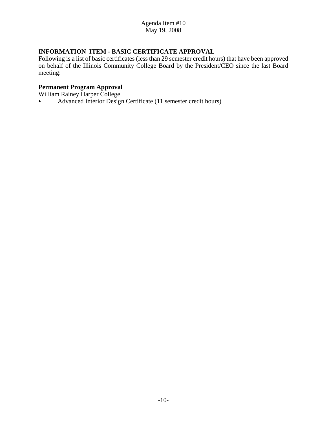# **INFORMATION ITEM - BASIC CERTIFICATE APPROVAL**

Following is a list of basic certificates (less than 29 semester credit hours) that have been approved on behalf of the Illinois Community College Board by the President/CEO since the last Board meeting:

## **Permanent Program Approval**

William Rainey Harper College

Advanced Interior Design Certificate (11 semester credit hours)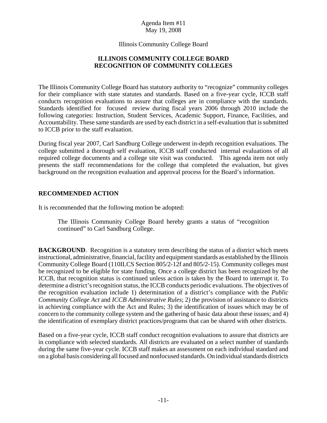Illinois Community College Board

## **ILLINOIS COMMUNITY COLLEGE BOARD RECOGNITION OF COMMUNITY COLLEGES**

The Illinois Community College Board has statutory authority to "recognize" community colleges for their compliance with state statutes and standards. Based on a five-year cycle, ICCB staff conducts recognition evaluations to assure that colleges are in compliance with the standards. Standards identified for focused review during fiscal years 2006 through 2010 include the following categories: Instruction, Student Services, Academic Support, Finance, Facilities, and Accountability. These same standards are used by each district in a self-evaluation that issubmitted to ICCB prior to the staff evaluation.

During fiscal year 2007, Carl Sandburg College underwent in-depth recognition evaluations. The college submitted a thorough self evaluation, ICCB staff conducted internal evaluations of all required college documents and a college site visit was conducted. This agenda item not only presents the staff recommendations for the college that completed the evaluation, but gives background on the recognition evaluation and approval process for the Board's information.

## **RECOMMENDED ACTION**

It is recommended that the following motion be adopted:

The Illinois Community College Board hereby grants a status of "recognition continued" to Carl Sandburg College.

**BACKGROUND.** Recognition is a statutory term describing the status of a district which meets instructional, administrative, financial, facility and equipment standards as established by the Illinois Community College Board (110ILCS Section 805/2-12f and 805/2-15). Community colleges must be recognized to be eligible for state funding. Once a college district has been recognized by the ICCB, that recognition status is continued unless action is taken by the Board to interrupt it. To determine a district's recognition status, the ICCB conducts periodic evaluations. The objectives of the recognition evaluation include 1) determination of a district's compliance with the *Public Community College Act* and *ICCB Administrative Rules*; 2) the provision of assistance to districts in achieving compliance with the Act and Rules; 3) the identification of issues which may be of concern to the community college system and the gathering of basic data about these issues; and 4) the identification of exemplary district practices/programs that can be shared with other districts.

Based on a five-year cycle, ICCB staff conduct recognition evaluations to assure that districts are in compliance with selected standards. All districts are evaluated on a select number of standards during the same five-year cycle. ICCB staff makes an assessment on each individual standard and on a global basis considering all focused and nonfocused standards. On individual standards districts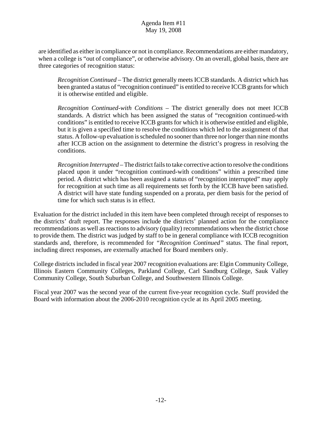are identified as either in compliance or not in compliance. Recommendations are either mandatory, when a college is "out of compliance", or otherwise advisory. On an overall, global basis, there are three categories of recognition status:

*Recognition Continued* – The district generally meets ICCB standards. A district which has been granted a status of "recognition continued" is entitled to receive ICCB grants for which it is otherwise entitled and eligible.

*Recognition Continued-with Conditions* – The district generally does not meet ICCB standards. A district which has been assigned the status of "recognition continued-with conditions" is entitled to receive ICCB grants for which it is otherwise entitled and eligible, but it is given a specified time to resolve the conditions which led to the assignment of that status. A follow-up evaluation is scheduled no sooner than three nor longer than nine months after ICCB action on the assignment to determine the district's progress in resolving the conditions.

*Recognition Interrupted* – The district fails to take corrective action to resolve the conditions placed upon it under "recognition continued-with conditions" within a prescribed time period. A district which has been assigned a status of "recognition interrupted" may apply for recognition at such time as all requirements set forth by the ICCB have been satisfied. A district will have state funding suspended on a prorata, per diem basis for the period of time for which such status is in effect.

Evaluation for the district included in this item have been completed through receipt of responses to the districts' draft report. The responses include the districts' planned action for the compliance recommendations as well as reactions to advisory (quality) recommendations when the district chose to provide them. The district was judged by staff to be in general compliance with ICCB recognition standards and, therefore, is recommended for *"Recognition Continued"* status. The final report, including direct responses, are externally attached for Board members only.

College districts included in fiscal year 2007 recognition evaluations are: Elgin Community College, Illinois Eastern Community Colleges, Parkland College, Carl Sandburg College, Sauk Valley Community College, South Suburban College, and Southwestern Illinois College.

Fiscal year 2007 was the second year of the current five-year recognition cycle. Staff provided the Board with information about the 2006-2010 recognition cycle at its April 2005 meeting.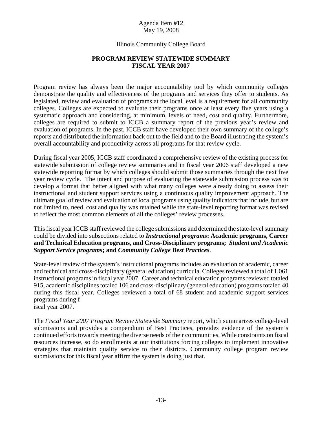## Illinois Community College Board

## **PROGRAM REVIEW STATEWIDE SUMMARY FISCAL YEAR 2007**

Program review has always been the major accountability tool by which community colleges demonstrate the quality and effectiveness of the programs and services they offer to students. As legislated, review and evaluation of programs at the local level is a requirement for all community colleges. Colleges are expected to evaluate their programs once at least every five years using a systematic approach and considering, at minimum, levels of need, cost and quality. Furthermore, colleges are required to submit to ICCB a summary report of the previous year's review and evaluation of programs. In the past, ICCB staff have developed their own summary of the college's reports and distributed the information back out to the field and to the Board illustrating the system's overall accountability and productivity across all programs for that review cycle.

During fiscal year 2005, ICCB staff coordinated a comprehensive review of the existing process for statewide submission of college review summaries and in fiscal year 2006 staff developed a new statewide reporting format by which colleges should submit those summaries through the next five year review cycle. The intent and purpose of evaluating the statewide submission process was to develop a format that better aligned with what many colleges were already doing to assess their instructional and student support services using a continuous quality improvement approach. The ultimate goal of review and evaluation of local programs using quality indicators that include, but are not limited to, need, cost and quality was retained while the state-level reporting format was revised to reflect the most common elements of all the colleges' review processes.

This fiscal year ICCB staff reviewed the college submissions and determined the state-level summary could be divided into subsections related to *Instructional programs***: Academic programs, Career and Technical Education programs, and Cross-Disciplinary programs;** *Student and Academic Support Service programs***; and** *Community College Best Practices*.

State-level review of the system's instructional programs includes an evaluation of academic, career and technical and cross-disciplinary (general education) curricula. Colleges reviewed a total of 1,061 instructional programs in fiscal year 2007. Career and technical education programs reviewed totaled 915, academic disciplines totaled 106 and cross-disciplinary (general education) programs totaled 40 during this fiscal year. Colleges reviewed a total of 68 student and academic support services programs during f iscal year 2007.

The *Fiscal Year 2007 Program Review Statewide Summary* report, which summarizes college-level submissions and provides a compendium of Best Practices, provides evidence of the system's continued efforts towards meeting the diverse needs of their communities. While constraints on fiscal resources increase, so do enrollments at our institutions forcing colleges to implement innovative strategies that maintain quality service to their districts. Community college program review submissions for this fiscal year affirm the system is doing just that.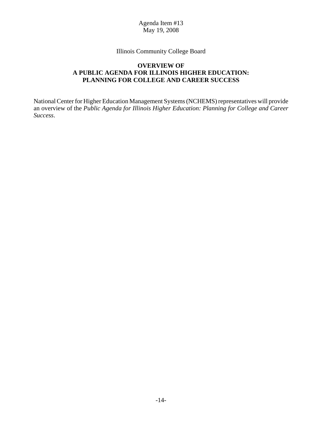Illinois Community College Board

## **OVERVIEW OF A PUBLIC AGENDA FOR ILLINOIS HIGHER EDUCATION: PLANNING FOR COLLEGE AND CAREER SUCCESS**

National Center for Higher Education Management Systems (NCHEMS) representatives will provide an overview of the *Public Agenda for Illinois Higher Education: Planning for College and Career Success*.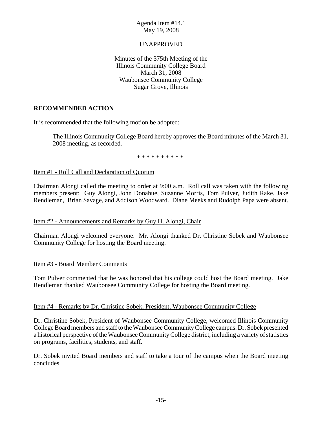## UNAPPROVED

Minutes of the 375th Meeting of the Illinois Community College Board March 31, 2008 Waubonsee Community College Sugar Grove, Illinois

# **RECOMMENDED ACTION**

It is recommended that the following motion be adopted:

The Illinois Community College Board hereby approves the Board minutes of the March 31, 2008 meeting, as recorded.

\* \* \* \* \* \* \* \* \* \*

## Item #1 - Roll Call and Declaration of Quorum

Chairman Alongi called the meeting to order at 9:00 a.m. Roll call was taken with the following members present: Guy Alongi, John Donahue, Suzanne Morris, Tom Pulver, Judith Rake, Jake Rendleman, Brian Savage, and Addison Woodward. Diane Meeks and Rudolph Papa were absent.

## Item #2 - Announcements and Remarks by Guy H. Alongi, Chair

Chairman Alongi welcomed everyone. Mr. Alongi thanked Dr. Christine Sobek and Waubonsee Community College for hosting the Board meeting.

## Item #3 - Board Member Comments

Tom Pulver commented that he was honored that his college could host the Board meeting. Jake Rendleman thanked Waubonsee Community College for hosting the Board meeting.

#### Item #4 - Remarks by Dr. Christine Sobek, President, Waubonsee Community College

Dr. Christine Sobek, President of Waubonsee Community College, welcomed Illinois Community College Board members and staff to the Waubonsee Community College campus. Dr. Sobek presented a historical perspective of the Waubonsee Community College district, including a variety of statistics on programs, facilities, students, and staff.

Dr. Sobek invited Board members and staff to take a tour of the campus when the Board meeting concludes.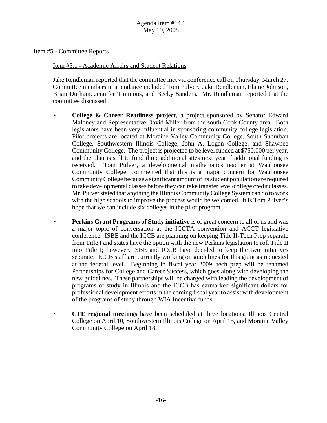Item #5 - Committee Reports

#### Item #5.1 - Academic Affairs and Student Relations

Jake Rendleman reported that the committee met via conference call on Thursday, March 27. Committee members in attendance included Tom Pulver, Jake Rendleman, Elaine Johnson, Brian Durham, Jennifer Timmons, and Becky Sanders. Mr. Rendleman reported that the committee discussed:

- **College & Career Readiness project**, a project sponsored by Senator Edward Maloney and Representative David Miller from the south Cook County area. Both legislators have been very influential in sponsoring community college legislation. Pilot projects are located at Moraine Valley Community College, South Suburban College, Southwestern Illinois College, John A. Logan College, and Shawnee Community College. The project is projected to be level funded at \$750,000 per year, and the plan is still to fund three additional sites next year if additional funding is received. Tom Pulver, a developmental mathematics teacher at Waubonsee Community College, commented that this is a major concern for Waubonsee Community College because a significant amount of its student population are required to take developmental classes before they can take transfer level/college credit classes. Mr. Pulver stated that anything the Illinois Community College System can do to work with the high schools to improve the process would be welcomed. It is Tom Pulver's hope that we can include six colleges in the pilot program.
- **Perkins Grant Programs of Study initiative** is of great concern to all of us and was a major topic of conversation at the ICCTA convention and ACCT legislative conference. ISBE and the ICCB are planning on keeping Title II-Tech Prep separate from Title I and states have the option with the new Perkins legislation to roll Title II into Title I; however, ISBE and ICCB have decided to keep the two initiatives separate. ICCB staff are currently working on guidelines for this grant as requested at the federal level. Beginning in fiscal year 2009, tech prep will be renamed Partnerships for College and Career Success, which goes along with developing the new guidelines. These partnerships will be charged with leading the development of programs of study in Illinois and the ICCB has earmarked significant dollars for professional development efforts in the coming fiscal year to assist with development of the programs of study through WIA Incentive funds.
- **CTE regional meetings** have been scheduled at three locations: Illinois Central College on April 10, Southwestern Illinois College on April 15, and Moraine Valley Community College on April 18.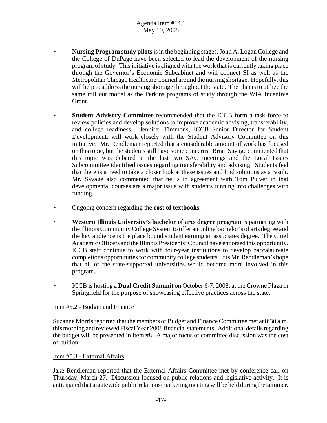- < **Nursing Program study pilots** is in the beginning stages. John A. Logan College and the College of DuPage have been selected to lead the development of the nursing program of study. This initiative is aligned with the work that is currently taking place through the Governor's Economic Subcabinet and will connect SI as well as the Metropolitan Chicago Healthcare Council around the nursing shortage. Hopefully, this will help to address the nursing shortage throughout the state. The plan is to utilize the same roll out model as the Perkins programs of study through the WIA Incentive Grant.
- **Student Advisory Committee** recommended that the ICCB form a task force to review policies and develop solutions to improve academic advising, transferability, and college readiness. Jennifer Timmons, ICCB Senior Director for Student Development, will work closely with the Student Advisory Committee on this initiative. Mr. Rendleman reported that a considerable amount of work has focused on this topic, but the students still have some concerns. Brian Savage commented that this topic was debated at the last two SAC meetings and the Local Issues Subcommittee identified issues regarding transferability and advising. Students feel that there is a need to take a closer look at these issues and find solutions as a result. Mr. Savage also commented that he is in agreement with Tom Pulver in that developmental courses are a major issue with students running into challenges with funding.
- < Ongoing concern regarding the **cost of textbooks**.
- < **Western Illinois University's bachelor of arts degree program** is partnering with the Illinois Community College System to offer an online bachelor's of arts degree and the key audience is the place bound student earning an associates degree. The Chief Academic Officers and the Illinois Presidents' Council have endorsed this opportunity. ICCB staff continue to work with four-year institutions to develop baccalaureate completions opportunities for community college students. It is Mr. Rendleman's hope that all of the state-supported universities would become more involved in this program.
- < ICCB is hosting a **Dual Credit Summit** on October 6-7, 2008, at the Crowne Plaza in Springfield for the purpose of showcasing effective practices across the state.

## Item #5.2 - Budget and Finance

Suzanne Morris reported that the members of Budget and Finance Committee met at 8:30 a.m. this morning and reviewed Fiscal Year 2008 financial statements. Additional details regarding the budget will be presented in Item #8. A major focus of committee discussion was the cost of tuition.

## Item #5.3 - External Affairs

Jake Rendleman reported that the External Affairs Committee met by conference call on Thursday, March 27. Discussion focused on public relations and legislative activity. It is anticipated that a statewide public relations/marketing meeting will be held during the summer.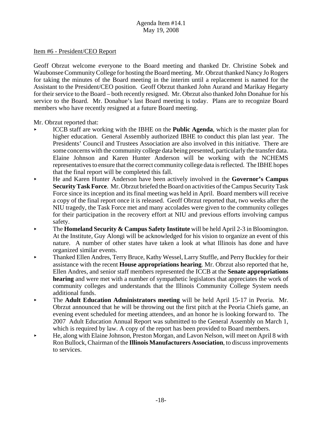#### Item #6 - President/CEO Report

Geoff Obrzut welcome everyone to the Board meeting and thanked Dr. Christine Sobek and Waubonsee Community College for hosting the Board meeting. Mr. Obrzut thanked Nancy Jo Rogers for taking the minutes of the Board meeting in the interim until a replacement is named for the Assistant to the President/CEO position. Geoff Obrzut thanked John Aurand and Marikay Hegarty for their service to the Board – both recently resigned. Mr. Obrzut also thanked John Donahue for his service to the Board. Mr. Donahue's last Board meeting is today. Plans are to recognize Board members who have recently resigned at a future Board meeting.

Mr. Obrzut reported that:

- < ICCB staff are working with the IBHE on the **Public Agenda**, which is the master plan for higher education. General Assembly authorized IBHE to conduct this plan last year. The Presidents' Council and Trustees Association are also involved in this initiative. There are some concerns with the community college data being presented, particularly the transfer data. Elaine Johnson and Karen Hunter Anderson will be working with the NCHEMS representatives to ensure that the correct community college data is reflected. The IBHE hopes that the final report will be completed this fall.
- < He and Karen Hunter Anderson have been actively involved in the **Governor's Campus Security Task Force**. Mr. Obrzut briefed the Board on activities of the Campus Security Task Force since its inception and its final meeting was held in April. Board members will receive a copy of the final report once it is released. Geoff Obrzut reported that, two weeks after the NIU tragedy, the Task Force met and many accolades were given to the community colleges for their participation in the recovery effort at NIU and previous efforts involving campus safety.
- The **Homeland Security & Campus Safety Institute** will be held April 2-3 in Bloomington. At the Institute, Guy Alongi will be acknowledged for his vision to organize an event of this nature. A number of other states have taken a look at what Illinois has done and have organized similar events.
- < Thanked Ellen Andres, Terry Bruce, Kathy Wessel, Larry Stuffle, and Perry Buckley for their assistance with the recent **House appropriations hearing**. Mr. Obrzut also reported that he, Ellen Andres, and senior staff members represented the ICCB at the **Senate appropriations hearing** and were met with a number of sympathetic legislators that appreciates the work of community colleges and understands that the Illinois Community College System needs additional funds.
- < The **Adult Education Administrators meeting** will be held April 15-17 in Peoria. Mr. Obrzut announced that he will be throwing out the first pitch at the Peoria Chiefs game, an evening event scheduled for meeting attendees, and an honor he is looking forward to. The 2007 Adult Education Annual Report was submitted to the General Assembly on March 1, which is required by law. A copy of the report has been provided to Board members.
- < He, along with Elaine Johnson, Preston Morgan, and Lavon Nelson, will meet on April 8 with Ron Bullock, Chairman of the **Illinois Manufacturers Association**, to discuss improvements to services.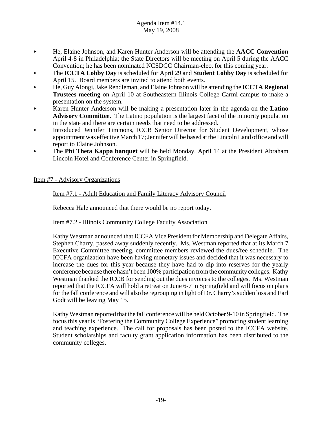- < He, Elaine Johnson, and Karen Hunter Anderson will be attending the **AACC Convention** April 4-8 in Philadelphia; the State Directors will be meeting on April 5 during the AACC Convention; he has been nominated NCSDCC Chairman-elect for this coming year.
- < The **ICCTA Lobby Day** is scheduled for April 29 and **Student Lobby Day** is scheduled for April 15. Board members are invited to attend both events.
- < He, Guy Alongi, Jake Rendleman, and Elaine Johnson will be attending the **ICCTA Regional Trustees meeting** on April 10 at Southeastern Illinois College Carmi campus to make a presentation on the system.
- < Karen Hunter Anderson will be making a presentation later in the agenda on the **Latino Advisory Committee**. The Latino population is the largest facet of the minority population in the state and there are certain needs that need to be addressed.
- < Introduced Jennifer Timmons, ICCB Senior Director for Student Development, whose appointment was effective March 17; Jennifer will be based at the Lincoln Land office and will report to Elaine Johnson.
- **The Phi Theta Kappa banquet** will be held Monday, April 14 at the President Abraham Lincoln Hotel and Conference Center in Springfield.

## Item #7 - Advisory Organizations

## Item #7.1 - Adult Education and Family Literacy Advisory Council

Rebecca Hale announced that there would be no report today.

## Item #7.2 - Illinois Community College Faculty Association

Kathy Westman announced that ICCFA Vice President for Membership and Delegate Affairs, Stephen Charry, passed away suddenly recently. Ms. Westman reported that at its March 7 Executive Committee meeting, committee members reviewed the dues/fee schedule. The ICCFA organization have been having monetary issues and decided that it was necessary to increase the dues for this year because they have had to dip into reserves for the yearly conference because there hasn't been 100% participation from the community colleges. Kathy Westman thanked the ICCB for sending out the dues invoices to the colleges. Ms. Westman reported that the ICCFA will hold a retreat on June 6-7 in Springfield and will focus on plans for the fall conference and will also be regrouping in light of Dr. Charry's sudden loss and Earl Godt will be leaving May 15.

Kathy Westman reported that the fall conference will be held October 9-10 in Springfield. The focus this year is "Fostering the Community College Experience" promoting student learning and teaching experience. The call for proposals has been posted to the ICCFA website. Student scholarships and faculty grant application information has been distributed to the community colleges.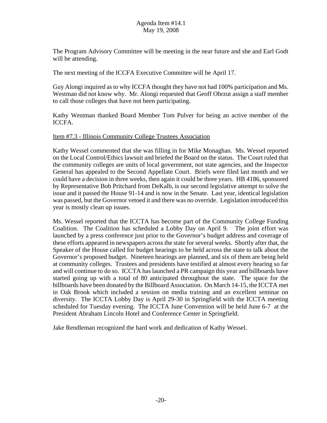The Program Advisory Committee will be meeting in the near future and she and Earl Godt will be attending.

The next meeting of the ICCFA Executive Committee will be April 17.

Guy Alongi inquired as to why ICCFA thought they have not had 100% participation and Ms. Westman did not know why. Mr. Alongi requested that Geoff Obrzut assign a staff member to call those colleges that have not been participating.

Kathy Westman thanked Board Member Tom Pulver for being an active member of the ICCFA.

## Item #7.3 - Illinois Community College Trustees Association

Kathy Wessel commented that she was filling in for Mike Monaghan. Ms. Wessel reported on the Local Control/Ethics lawsuit and briefed the Board on the status. The Court ruled that the community colleges are units of local government, not state agencies, and the Inspector General has appealed to the Second Appellate Court. Briefs were filed last month and we could have a decision in three weeks, then again it could be three years. HB 4186, sponsored by Representative Bob Pritchard from DeKalb, is our second legislative attempt to solve the issue and it passed the House 91-14 and is now in the Senate. Last year, identical legislation was passed, but the Governor vetoed it and there was no override. Legislation introduced this year is mostly clean up issues.

Ms. Wessel reported that the ICCTA has become part of the Community College Funding Coalition. The Coalition has scheduled a Lobby Day on April 9. The joint effort was launched by a press conference just prior to the Governor's budget address and coverage of these efforts appeared in newspapers across the state for several weeks. Shortly after that, the Speaker of the House called for budget hearings to be held across the state to talk about the Governor's proposed budget. Nineteen hearings are planned, and six of them are being held at community colleges. Trustees and presidents have testified at almost every hearing so far and will continue to do so. ICCTA has launched a PR campaign this year and billboards have started going up with a total of 80 anticipated throughout the state. The space for the billboards have been donated by the Billboard Association. On March 14-15, the ICCTA met in Oak Brook which included a session on media training and an excellent seminar on diversity. The ICCTA Lobby Day is April 29-30 in Springfield with the ICCTA meeting scheduled for Tuesday evening. The ICCTA June Convention will be held June 6-7 at the President Abraham Lincoln Hotel and Conference Center in Springfield.

Jake Rendleman recognized the hard work and dedication of Kathy Wessel.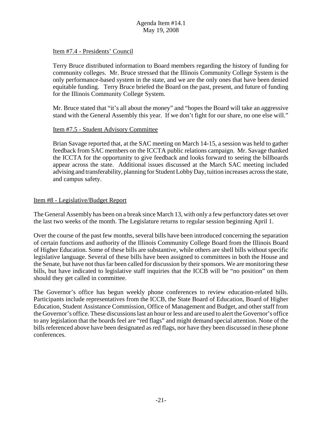#### Item #7.4 - Presidents' Council

Terry Bruce distributed information to Board members regarding the history of funding for community colleges. Mr. Bruce stressed that the Illinois Community College System is the only performance-based system in the state, and we are the only ones that have been denied equitable funding. Terry Bruce briefed the Board on the past, present, and future of funding for the Illinois Community College System.

Mr. Bruce stated that "it's all about the money" and "hopes the Board will take an aggressive stand with the General Assembly this year. If we don't fight for our share, no one else will."

#### Item #7.5 - Student Advisory Committee

Brian Savage reported that, at the SAC meeting on March 14-15, a session was held to gather feedback from SAC members on the ICCTA public relations campaign. Mr. Savage thanked the ICCTA for the opportunity to give feedback and looks forward to seeing the billboards appear across the state. Additional issues discussed at the March SAC meeting included advising and transferability, planning for Student Lobby Day, tuition increases across the state, and campus safety.

#### Item #8 - Legislative/Budget Report

The General Assembly has been on a break since March 13, with only a few perfunctory dates set over the last two weeks of the month. The Legislature returns to regular session beginning April 1.

Over the course of the past few months, several bills have been introduced concerning the separation of certain functions and authority of the Illinois Community College Board from the Illinois Board of Higher Education. Some of these bills are substantive, while others are shell bills without specific legislative language. Several of these bills have been assigned to committees in both the House and the Senate, but have not thus far been called for discussion by their sponsors. We are monitoring these bills, but have indicated to legislative staff inquiries that the ICCB will be "no position" on them should they get called in committee.

The Governor's office has begun weekly phone conferences to review education-related bills. Participants include representatives from the ICCB, the State Board of Education, Board of Higher Education, Student Assistance Commission, Office of Management and Budget, and other staff from the Governor's office. These discussions last an hour or less and are used to alert the Governor's office to any legislation that the boards feel are "red flags" and might demand special attention. None of the bills referenced above have been designated as red flags, nor have they been discussed in these phone conferences.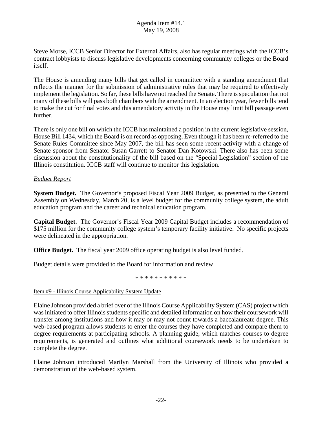Steve Morse, ICCB Senior Director for External Affairs, also has regular meetings with the ICCB's contract lobbyists to discuss legislative developments concerning community colleges or the Board itself.

The House is amending many bills that get called in committee with a standing amendment that reflects the manner for the submission of administrative rules that may be required to effectively implement the legislation. So far, these bills have not reached the Senate. There is speculation that not many of these bills will pass both chambers with the amendment. In an election year, fewer bills tend to make the cut for final votes and this amendatory activity in the House may limit bill passage even further.

There is only one bill on which the ICCB has maintained a position in the current legislative session, House Bill 1434, which the Board is on record as opposing. Even though it has been re-referred to the Senate Rules Committee since May 2007, the bill has seen some recent activity with a change of Senate sponsor from Senator Susan Garrett to Senator Dan Kotowski. There also has been some discussion about the constitutionality of the bill based on the "Special Legislation" section of the Illinois constitution. ICCB staff will continue to monitor this legislation.

## *Budget Report*

**System Budget.** The Governor's proposed Fiscal Year 2009 Budget, as presented to the General Assembly on Wednesday, March 20, is a level budget for the community college system, the adult education program and the career and technical education program.

**Capital Budget.** The Governor's Fiscal Year 2009 Capital Budget includes a recommendation of \$175 million for the community college system's temporary facility initiative. No specific projects were delineated in the appropriation.

**Office Budget.** The fiscal year 2009 office operating budget is also level funded.

Budget details were provided to the Board for information and review.

\* \* \* \* \* \* \* \* \* \* \*

Item #9 - Illinois Course Applicability System Update

Elaine Johnson provided a brief over of the Illinois Course Applicability System (CAS) project which was initiated to offer Illinois students specific and detailed information on how their coursework will transfer among institutions and how it may or may not count towards a baccalaureate degree. This web-based program allows students to enter the courses they have completed and compare them to degree requirements at participating schools. A planning guide, which matches courses to degree requirements, is generated and outlines what additional coursework needs to be undertaken to complete the degree.

Elaine Johnson introduced Marilyn Marshall from the University of Illinois who provided a demonstration of the web-based system.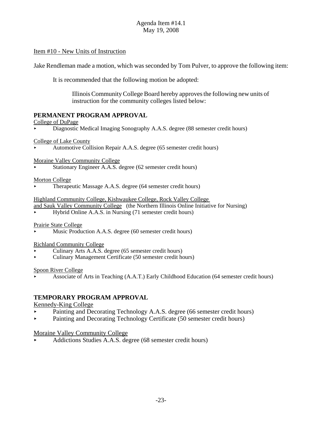## Item #10 - New Units of Instruction

Jake Rendleman made a motion, which was seconded by Tom Pulver, to approve the following item:

It is recommended that the following motion be adopted:

Illinois Community College Board hereby approves the following new units of instruction for the community colleges listed below:

## **PERMANENT PROGRAM APPROVAL**

#### College of DuPage

< Diagnostic Medical Imaging Sonography A.A.S. degree (88 semester credit hours)

College of Lake County

< Automotive Collision Repair A.A.S. degree (65 semester credit hours)

Moraine Valley Community College

Stationary Engineer A.A.S. degree (62 semester credit hours)

#### Morton College

< Therapeutic Massage A.A.S. degree (64 semester credit hours)

Highland Community College, Kishwaukee College, Rock Valley College

and Sauk Valley Community College (the Northern Illinois Online Initiative for Nursing)

< Hybrid Online A.A.S. in Nursing (71 semester credit hours)

#### Prairie State College

Music Production A.A.S. degree (60 semester credit hours)

## Richland Community College

- < Culinary Arts A.A.S. degree (65 semester credit hours)
- < Culinary Management Certificate (50 semester credit hours)

#### Spoon River College

< Associate of Arts in Teaching (A.A.T.) Early Childhood Education (64 semester credit hours)

# **TEMPORARY PROGRAM APPROVAL**

## Kennedy-King College

- < Painting and Decorating Technology A.A.S. degree (66 semester credit hours)
- Painting and Decorating Technology Certificate (50 semester credit hours)

## Moraine Valley Community College

< Addictions Studies A.A.S. degree (68 semester credit hours)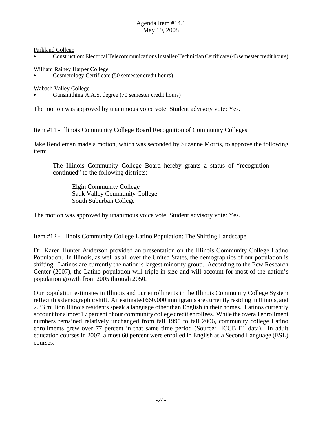Parkland College

< Construction: Electrical Telecommunications Installer/Technician Certificate (43 semester credit hours)

#### William Rainey Harper College

< Cosmetology Certificate (50 semester credit hours)

Wabash Valley College

< Gunsmithing A.A.S. degree (70 semester credit hours)

The motion was approved by unanimous voice vote. Student advisory vote: Yes.

## Item #11 - Illinois Community College Board Recognition of Community Colleges

Jake Rendleman made a motion, which was seconded by Suzanne Morris, to approve the following item:

The Illinois Community College Board hereby grants a status of "recognition continued" to the following districts:

Elgin Community College Sauk Valley Community College South Suburban College

The motion was approved by unanimous voice vote. Student advisory vote: Yes.

## Item #12 - Illinois Community College Latino Population: The Shifting Landscape

Dr. Karen Hunter Anderson provided an presentation on the Illinois Community College Latino Population. In Illinois, as well as all over the United States, the demographics of our population is shifting. Latinos are currently the nation's largest minority group. According to the Pew Research Center (2007), the Latino population will triple in size and will account for most of the nation's population growth from 2005 through 2050.

Our population estimates in Illinois and our enrollments in the Illinois Community College System reflect this demographic shift. An estimated 660,000 immigrants are currently residing in Illinois, and 2.33 million Illinois residents speak a language other than English in their homes. Latinos currently account for almost 17 percent of our community college credit enrollees. While the overall enrollment numbers remained relatively unchanged from fall 1990 to fall 2006, community college Latino enrollments grew over 77 percent in that same time period (Source: ICCB E1 data). In adult education courses in 2007, almost 60 percent were enrolled in English as a Second Language (ESL) courses.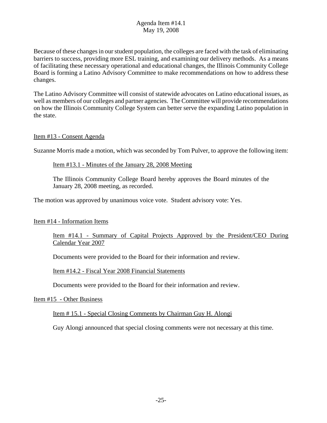Because of these changes in our student population, the colleges are faced with the task of eliminating barriers to success, providing more ESL training, and examining our delivery methods. As a means of facilitating these necessary operational and educational changes, the Illinois Community College Board is forming a Latino Advisory Committee to make recommendations on how to address these changes.

The Latino Advisory Committee will consist of statewide advocates on Latino educational issues, as well as members of our colleges and partner agencies. The Committee will provide recommendations on how the Illinois Community College System can better serve the expanding Latino population in the state.

## Item #13 - Consent Agenda

Suzanne Morris made a motion, which was seconded by Tom Pulver, to approve the following item:

#### Item #13.1 - Minutes of the January 28, 2008 Meeting

The Illinois Community College Board hereby approves the Board minutes of the January 28, 2008 meeting, as recorded.

The motion was approved by unanimous voice vote. Student advisory vote: Yes.

## Item #14 - Information Items

## Item #14.1 - Summary of Capital Projects Approved by the President/CEO During Calendar Year 2007

Documents were provided to the Board for their information and review.

#### Item #14.2 - Fiscal Year 2008 Financial Statements

Documents were provided to the Board for their information and review.

#### Item #15 - Other Business

#### Item # 15.1 - Special Closing Comments by Chairman Guy H. Alongi

Guy Alongi announced that special closing comments were not necessary at this time.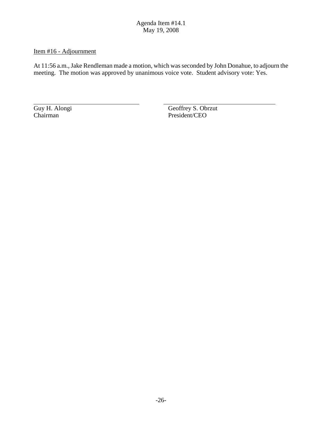# Item #16 - Adjournment

At 11:56 a.m., Jake Rendleman made a motion, which was seconded by John Donahue, to adjourn the meeting. The motion was approved by unanimous voice vote. Student advisory vote: Yes.

Guy H. Alongi<br>
Chairman Geoffrey S. Obrzut<br>
President/CEO President/CEO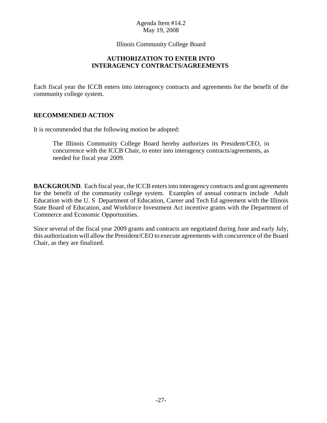Illinois Community College Board

## **AUTHORIZATION TO ENTER INTO INTERAGENCY CONTRACTS/AGREEMENTS**

Each fiscal year the ICCB enters into interagency contracts and agreements for the benefit of the community college system.

# **RECOMMENDED ACTION**

It is recommended that the following motion be adopted:

The Illinois Community College Board hereby authorizes its President/CEO, in concurrence with the ICCB Chair, to enter into interagency contracts/agreements, as needed for fiscal year 2009.

**BACKGROUND**. Each fiscal year, the ICCB enters into interagency contracts and grant agreements for the benefit of the community college system. Examples of annual contracts include Adult Education with the U. S Department of Education, Career and Tech Ed agreement with the Illinois State Board of Education, and Workforce Investment Act incentive grants with the Department of Commerce and Economic Opportunities.

Since several of the fiscal year 2009 grants and contracts are negotiated during June and early July, this authorization will allow the President/CEO to execute agreements with concurrence of the Board Chair, as they are finalized.